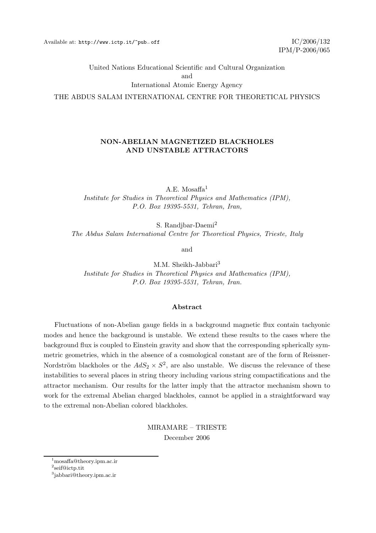United Nations Educational Scientific and Cultural Organization

and

International Atomic Energy Agency

THE ABDUS SALAM INTERNATIONAL CENTRE FOR THEORETICAL PHYSICS

## NON-ABELIAN MAGNETIZED BLACKHOLES AND UNSTABLE ATTRACTORS

A.E. Mosaffa $1$ Institute for Studies in Theoretical Physics and Mathematics (IPM), P.O. Box 19395-5531, Tehran, Iran,

S. Randjbar-Daemi<sup>2</sup> The Abdus Salam International Centre for Theoretical Physics, Trieste, Italy

and

M.M. Sheikh-Jabbari<sup>3</sup> Institute for Studies in Theoretical Physics and Mathematics (IPM), P.O. Box 19395-5531, Tehran, Iran.

### Abstract

Fluctuations of non-Abelian gauge fields in a background magnetic flux contain tachyonic modes and hence the background is unstable. We extend these results to the cases where the background flux is coupled to Einstein gravity and show that the corresponding spherically symmetric geometries, which in the absence of a cosmological constant are of the form of Reissner-Nordström blackholes or the  $AdS_2 \times S^2$ , are also unstable. We discuss the relevance of these instabilities to several places in string theory including various string compactifications and the attractor mechanism. Our results for the latter imply that the attractor mechanism shown to work for the extremal Abelian charged blackholes, cannot be applied in a straightforward way to the extremal non-Abelian colored blackholes.

> MIRAMARE – TRIESTE December 2006

<sup>1</sup>mosaffa@theory.ipm.ac.ir

<sup>2</sup> seif@ictp.tit

<sup>3</sup> jabbari@theory.ipm.ac.ir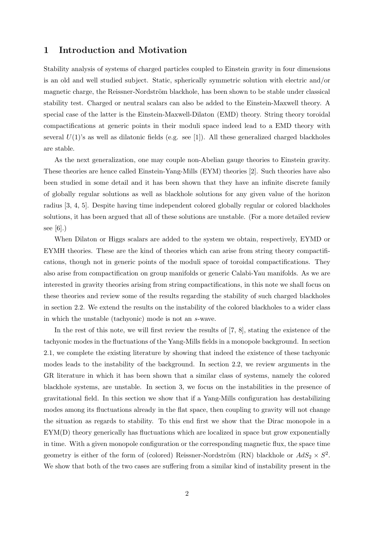## 1 Introduction and Motivation

Stability analysis of systems of charged particles coupled to Einstein gravity in four dimensions is an old and well studied subject. Static, spherically symmetric solution with electric and/or magnetic charge, the Reissner-Nordström blackhole, has been shown to be stable under classical stability test. Charged or neutral scalars can also be added to the Einstein-Maxwell theory. A special case of the latter is the Einstein-Maxwell-Dilaton (EMD) theory. String theory toroidal compactifications at generic points in their moduli space indeed lead to a EMD theory with several  $U(1)$ 's as well as dilatonic fields (e.g. see [1]). All these generalized charged blackholes are stable.

As the next generalization, one may couple non-Abelian gauge theories to Einstein gravity. These theories are hence called Einstein-Yang-Mills (EYM) theories [2]. Such theories have also been studied in some detail and it has been shown that they have an infinite discrete family of globally regular solutions as well as blackhole solutions for any given value of the horizon radius [3, 4, 5]. Despite having time independent colored globally regular or colored blackholes solutions, it has been argued that all of these solutions are unstable. (For a more detailed review see [6].)

When Dilaton or Higgs scalars are added to the system we obtain, respectively, EYMD or EYMH theories. These are the kind of theories which can arise from string theory compactifications, though not in generic points of the moduli space of toroidal compactifications. They also arise from compactification on group manifolds or generic Calabi-Yau manifolds. As we are interested in gravity theories arising from string compactifications, in this note we shall focus on these theories and review some of the results regarding the stability of such charged blackholes in section 2.2. We extend the results on the instability of the colored blackholes to a wider class in which the unstable (tachyonic) mode is not an s-wave.

In the rest of this note, we will first review the results of [7, 8], stating the existence of the tachyonic modes in the fluctuations of the Yang-Mills fields in a monopole background. In section 2.1, we complete the existing literature by showing that indeed the existence of these tachyonic modes leads to the instability of the background. In section 2.2, we review arguments in the GR literature in which it has been shown that a similar class of systems, namely the colored blackhole systems, are unstable. In section 3, we focus on the instabilities in the presence of gravitational field. In this section we show that if a Yang-Mills configuration has destabilizing modes among its fluctuations already in the flat space, then coupling to gravity will not change the situation as regards to stability. To this end first we show that the Dirac monopole in a EYM(D) theory generically has fluctuations which are localized in space but grow exponentially in time. With a given monopole configuration or the corresponding magnetic flux, the space time geometry is either of the form of (colored) Reissner-Nordström (RN) blackhole or  $AdS_2 \times S^2$ . We show that both of the two cases are suffering from a similar kind of instability present in the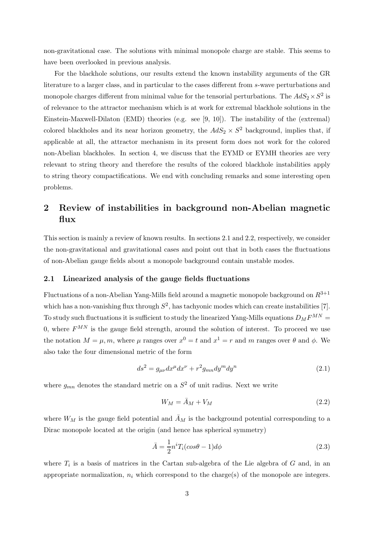non-gravitational case. The solutions with minimal monopole charge are stable. This seems to have been overlooked in previous analysis.

For the blackhole solutions, our results extend the known instability arguments of the GR literature to a larger class, and in particular to the cases different from s-wave perturbations and monopole charges different from minimal value for the tensorial perturbations. The  $AdS_2 \times S^2$  is of relevance to the attractor mechanism which is at work for extremal blackhole solutions in the Einstein-Maxwell-Dilaton (EMD) theories (e.g. see [9, 10]). The instability of the (extremal) colored blackholes and its near horizon geometry, the  $AdS_2 \times S^2$  background, implies that, if applicable at all, the attractor mechanism in its present form does not work for the colored non-Abelian blackholes. In section 4, we discuss that the EYMD or EYMH theories are very relevant to string theory and therefore the results of the colored blackhole instabilities apply to string theory compactifications. We end with concluding remarks and some interesting open problems.

## 2 Review of instabilities in background non-Abelian magnetic flux

This section is mainly a review of known results. In sections 2.1 and 2.2, respectively, we consider the non-gravitational and gravitational cases and point out that in both cases the fluctuations of non-Abelian gauge fields about a monopole background contain unstable modes.

## 2.1 Linearized analysis of the gauge fields fluctuations

Fluctuations of a non-Abelian Yang-Mills field around a magnetic monopole background on  $R^{3+1}$ which has a non-vanishing flux through  $S^2$ , has tachyonic modes which can create instabilities [7]. To study such fluctuations it is sufficient to study the linearized Yang-Mills equations  $D_M F^{MN} =$ 0, where  $F^{MN}$  is the gauge field strength, around the solution of interest. To proceed we use the notation  $M = \mu, m$ , where  $\mu$  ranges over  $x^0 = t$  and  $x^1 = r$  and m ranges over  $\theta$  and  $\phi$ . We also take the four dimensional metric of the form

$$
ds^2 = g_{\mu\nu} dx^{\mu} dx^{\nu} + r^2 g_{mn} dy^m dy^n \tag{2.1}
$$

where  $g_{mn}$  denotes the standard metric on a  $S^2$  of unit radius. Next we write

$$
W_M = \bar{A}_M + V_M \tag{2.2}
$$

where  $W_M$  is the gauge field potential and  $\bar{A}_M$  is the background potential corresponding to a Dirac monopole located at the origin (and hence has spherical symmetry)

$$
\bar{A} = \frac{1}{2}n^i T_i(\cos \theta - 1)d\phi
$$
\n(2.3)

where  $T_i$  is a basis of matrices in the Cartan sub-algebra of the Lie algebra of G and, in an appropriate normalization,  $n_i$  which correspond to the charge(s) of the monopole are integers.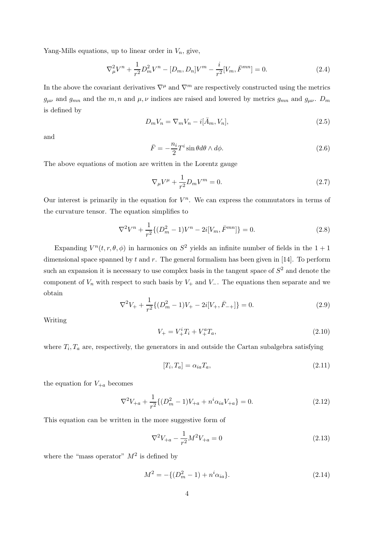Yang-Mills equations, up to linear order in  $V_n$ , give,

$$
\nabla_{\mu}^{2}V^{n} + \frac{1}{r^{2}}D_{m}^{2}V^{n} - [D_{m}, D_{n}]V^{m} - \frac{i}{r^{2}}[V_{m}, \bar{F}^{mn}] = 0.
$$
 (2.4)

In the above the covariant derivatives  $\nabla^{\mu}$  and  $\nabla^{m}$  are respectively constructed using the metrics  $g_{\mu\nu}$  and  $g_{mn}$  and the m, n and  $\mu, \nu$  indices are raised and lowered by metrics  $g_{mn}$  and  $g_{\mu\nu}$ .  $D_m$ is defined by

$$
D_m V_n = \nabla_m V_n - i[\bar{A}_m, V_n],\tag{2.5}
$$

and

$$
\bar{F} = -\frac{n_i}{2} T^i \sin \theta d\theta \wedge d\phi.
$$
 (2.6)

The above equations of motion are written in the Lorentz gauge

$$
\nabla_{\mu}V^{\mu} + \frac{1}{r^2}D_mV^m = 0.
$$
\n(2.7)

Our interest is primarily in the equation for  $V^n$ . We can express the commutators in terms of the curvature tensor. The equation simplifies to

$$
\nabla^2 V^n + \frac{1}{r^2} \{ (D_m^2 - 1) V^n - 2i[V_m, \bar{F}^{mn}] \} = 0.
$$
 (2.8)

Expanding  $V^n(t,r,\theta,\phi)$  in harmonics on  $S^2$  yields an infinite number of fields in the  $1+1$ dimensional space spanned by  $t$  and  $r$ . The general formalism has been given in [14]. To perform such an expansion it is necessary to use complex basis in the tangent space of  $S^2$  and denote the component of  $V_n$  with respect to such basis by  $V_+$  and  $V_-\$ . The equations then separate and we obtain

$$
\nabla^2 V_+ + \frac{1}{r^2} \{ (D_m^2 - 1)V_+ - 2i[V_+, \bar{F}_{-+}] \} = 0.
$$
\n(2.9)

Writing

$$
V_{+} = V_{+}^{i} T_{i} + V_{+}^{a} T_{a}, \tag{2.10}
$$

where  $T_i, T_a$  are, respectively, the generators in and outside the Cartan subalgebra satisfying

$$
[T_i, T_a] = \alpha_{ia} T_a,\tag{2.11}
$$

the equation for  $V_{+a}$  becomes

$$
\nabla^2 V_{+a} + \frac{1}{r^2} \{ (D_m^2 - 1) V_{+a} + n^i \alpha_{ia} V_{+a} \} = 0.
$$
 (2.12)

This equation can be written in the more suggestive form of

$$
\nabla^2 V_{+a} - \frac{1}{r^2} M^2 V_{+a} = 0 \tag{2.13}
$$

where the "mass operator"  $M^2$  is defined by

$$
M^2 = -\{(D_m^2 - 1) + n^i \alpha_{ia}\}.
$$
\n(2.14)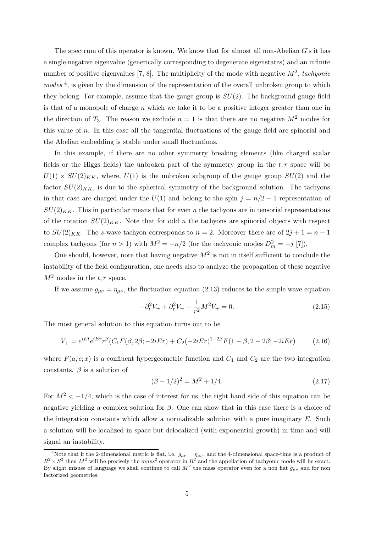The spectrum of this operator is known. We know that for almost all non-Abelian G's it has a single negative eigenvalue (generically corresponding to degenerate eigenstates) and an infinite number of positive eigenvalues [7, 8]. The multiplicity of the mode with negative  $M^2$ , tachyonic  $modes<sup>4</sup>$ , is given by the dimension of the representation of the overall unbroken group to which they belong. For example, assume that the gauge group is  $SU(2)$ . The background gauge field is that of a monopole of charge n which we take it to be a positive integer greater than one in the direction of  $T_3$ . The reason we exclude  $n = 1$  is that there are no negative  $M^2$  modes for this value of  $n$ . In this case all the tangential fluctuations of the gauge field are spinorial and the Abelian embedding is stable under small fluctuations.

In this example, if there are no other symmetry breaking elements (like charged scalar fields or the Higgs fields) the unbroken part of the symmetry group in the  $t, r$  space will be  $U(1) \times SU(2)_{KK}$ , where,  $U(1)$  is the unbroken subgroup of the gauge group  $SU(2)$  and the factor  $SU(2)_{KK}$ , is due to the spherical symmetry of the background solution. The tachyons in that case are charged under the  $U(1)$  and belong to the spin  $j = n/2 - 1$  representation of  $SU(2)_{KK}$ . This in particular means that for even n the tachyons are in tensorial representations of the rotation  $SU(2)_{KK}$ . Note that for odd n the tachyons are spinorial objects with respect to  $SU(2)_{KK}$ . The s-wave tachyon corresponds to  $n = 2$ . Moreover there are of  $2j + 1 = n - 1$ complex tachyons (for  $n > 1$ ) with  $M^2 = -n/2$  (for the tachyonic modes  $D_m^2 = -j$  [7]).

One should, however, note that having negative  $M^2$  is not in itself sufficient to conclude the instability of the field configuration, one needs also to analyze the propagation of these negative  $M^2$  modes in the t, r space.

If we assume  $g_{\mu\nu} = \eta_{\mu\nu}$ , the fluctuation equation (2.13) reduces to the simple wave equation

$$
-\partial_t^2 V_+ + \partial_r^2 V_+ - \frac{1}{r^2} M^2 V_+ = 0.
$$
\n(2.15)

The most general solution to this equation turns out to be

$$
V_{+} = e^{iEt}e^{iEr}r^{\beta}(C_{1}F(\beta, 2\beta; -2iEr) + C_{2}(-2iEr)^{1-2\beta}F(1-\beta, 2-2\beta; -2iEr)
$$
 (2.16)

where  $F(a, c; x)$  is a confluent hypergeometric function and  $C_1$  and  $C_2$  are the two integration constants.  $\beta$  is a solution of

$$
(\beta - 1/2)^2 = M^2 + 1/4. \tag{2.17}
$$

For  $M^2 < -1/4$ , which is the case of interest for us, the right hand side of this equation can be negative yielding a complex solution for  $\beta$ . One can show that in this case there is a choice of the integration constants which allow a normalizable solution with a pure imaginary  $E$ . Such a solution will be localized in space but delocalized (with exponential growth) in time and will signal an instability.

<sup>&</sup>lt;sup>4</sup>Note that if the 2-dimensional metric is flat, i.e.  $g_{\mu\nu} = \eta_{\mu\nu}$ , and the 4-dimensional space-time is a product of  $R^2 \times S^2$  then  $M^2$  will be precisely the mass<sup>2</sup> operator in  $R^2$  and the appellation of tachyonic mode will be exact. By slight misuse of language we shall continue to call  $M^2$  the mass operator even for a non flat  $g_{\mu\nu}$  and for non factorized geometries.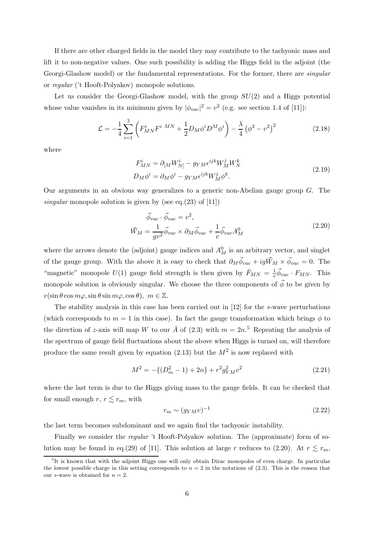If there are other charged fields in the model they may contribute to the tachyonic mass and lift it to non-negative values. One such possibility is adding the Higgs field in the adjoint (the Georgi-Glashow model) or the fundamental representations. For the former, there are *singular* or regular ('t Hooft-Polyakov) monopole solutions.

Let us consider the Georgi-Glashow model, with the group  $SU(2)$  and a Higgs potential whose value vanishes in its minimum given by  $|\phi_{vac}|^2 = v^2$  (e.g. see section 1.4 of [11]):

$$
\mathcal{L} = -\frac{1}{4} \sum_{i=1}^{3} \left( F_{MN}^{i} F^{i}{}^{MN} + \frac{1}{2} D_M \phi^i D^M \phi^i \right) - \frac{\lambda}{4} \left( \phi^2 - v^2 \right)^2 \tag{2.18}
$$

where

$$
F_{MN}^{i} = \partial_{[M} W_{N]}^{i} - g_{YM} \epsilon^{ijk} W_{M}^{j} W_{N}^{k}
$$
  
\n
$$
D_{M} \phi^{i} = \partial_{M} \phi^{i} - g_{YM} \epsilon^{ijk} W_{M}^{j} \phi^{k}.
$$
\n(2.19)

Our arguments in an obvious way generalizes to a generic non-Abelian gauge group  $G$ . The singular monopole solution is given by (see eq.(23) of [11])

$$
\vec{\phi}_{vac} \cdot \vec{\phi}_{vac} = v^2,
$$
\n
$$
\vec{W}_M = \frac{1}{gv^2} \vec{\phi}_{vac} \times \partial_M \vec{\phi}_{vac} + \frac{1}{v} \vec{\phi}_{vac} A_M^0
$$
\n(2.20)

where the arrows denote the (adjoint) gauge indices and  $A_M^0$  is an arbitrary vector, and singlet of the gauge group. With the above it is easy to check that  $\partial_M \vec{\phi}_{vac} + ig \vec{W}_M \times \vec{\phi}_{vac} = 0$ . The "magnetic" monopole  $U(1)$  gauge field strength is then given by  $\bar{F}_{MN} = \frac{1}{v}$  $\frac{1}{v} \vec{\phi}_{vac} \cdot F_{MN}$ . This monopole solution is obviously singular. We choose the three components of  $\vec{\phi}$  to be given by  $v(\sin\theta\cos m\varphi,\sin\theta\sin m\varphi,\cos\theta), m\in\mathbb{Z}.$ 

The stability analysis in this case has been carried out in [12] for the s-wave perturbations (which corresponds to  $m = 1$  in this case). In fact the gauge transformation which brings  $\phi$  to the direction of z-axis will map W to our  $\overline{A}$  of (2.3) with  $m = 2n$ <sup>5</sup>. Repeating the analysis of the spectrum of gauge field fluctuations about the above when Higgs is turned on, will therefore produce the same result given by equation  $(2.13)$  but the  $M<sup>2</sup>$  is now replaced with

$$
M^{2} = -\{(D_{m}^{2} - 1) + 2n\} + r^{2} g_{YM}^{2} v^{2}
$$
\n(2.21)

where the last term is due to the Higgs giving mass to the gauge fields. It can be checked that for small enough  $r, r \lesssim r_m$ , with

$$
r_m \sim (g_{YM} v)^{-1} \tag{2.22}
$$

the last term becomes subdominant and we again find the tachyonic instability.

Finally we consider the regular 't Hooft-Polyakov solution. The (approximate) form of solution may be found in eq.(29) of [11]. This solution at large r reduces to (2.20). At  $r \leq r_m$ ,

<sup>&</sup>lt;sup>5</sup>It is known that with the adjoint Higgs one will only obtain Dirac monopoles of even charge. In particular the lowest possible charge in this setting corresponds to  $n = 2$  in the notations of (2.3). This is the reason that our s-wave is obtained for  $n = 2$ .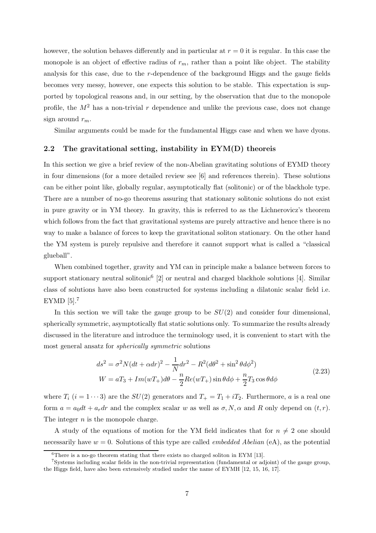however, the solution behaves differently and in particular at  $r = 0$  it is regular. In this case the monopole is an object of effective radius of  $r_m$ , rather than a point like object. The stability analysis for this case, due to the r-dependence of the background Higgs and the gauge fields becomes very messy, however, one expects this solution to be stable. This expectation is supported by topological reasons and, in our setting, by the observation that due to the monopole profile, the  $M^2$  has a non-trivial r dependence and unlike the previous case, does not change sign around  $r_m$ .

Similar arguments could be made for the fundamental Higgs case and when we have dyons.

## 2.2 The gravitational setting, instability in  $EYM(D)$  theoreis

In this section we give a brief review of the non-Abelian gravitating solutions of EYMD theory in four dimensions (for a more detailed review see [6] and references therein). These solutions can be either point like, globally regular, asymptotically flat (solitonic) or of the blackhole type. There are a number of no-go theorems assuring that stationary solitonic solutions do not exist in pure gravity or in YM theory. In gravity, this is referred to as the Lichnerovicz's theorem which follows from the fact that gravitational systems are purely attractive and hence there is no way to make a balance of forces to keep the gravitational soliton stationary. On the other hand the YM system is purely repulsive and therefore it cannot support what is called a "classical glueball".

When combined together, gravity and YM can in principle make a balance between forces to support stationary neutral solitonic<sup>6</sup> [2] or neutral and charged blackhole solutions [4]. Similar class of solutions have also been constructed for systems including a dilatonic scalar field i.e. EYMD [5].<sup>7</sup>

In this section we will take the gauge group to be  $SU(2)$  and consider four dimensional, spherically symmetric, asymptotically flat static solutions only. To summarize the results already discussed in the literature and introduce the terminology used, it is convenient to start with the most general ansatz for spherically symmetric solutions

$$
ds^{2} = \sigma^{2} N (dt + \alpha dr)^{2} - \frac{1}{N} dr^{2} - R^{2} (d\theta^{2} + \sin^{2} \theta d\phi^{2})
$$
  
\n
$$
W = aT_{3} + Im(wT_{+}) d\theta - \frac{n}{2} Re(wT_{+}) \sin \theta d\phi + \frac{n}{2} T_{3} \cos \theta d\phi
$$
\n(2.23)

where  $T_i$   $(i = 1 \cdots 3)$  are the  $SU(2)$  generators and  $T_+ = T_1 + iT_2$ . Furthermore, a is a real one form  $a = a_0 dt + a_r dr$  and the complex scalar w as well as  $\sigma, N, \alpha$  and R only depend on  $(t, r)$ . The integer  $n$  is the monopole charge.

A study of the equations of motion for the YM field indicates that for  $n \neq 2$  one should necessarily have  $w = 0$ . Solutions of this type are called *embedded Abelian* (eA), as the potential

 $6$ There is a no-go theorem stating that there exists no charged soliton in EYM [13].

<sup>7</sup> Systems including scalar fields in the non-trivial representation (fundamental or adjoint) of the gauge group, the Higgs field, have also been extensively studied under the name of EYMH [12, 15, 16, 17].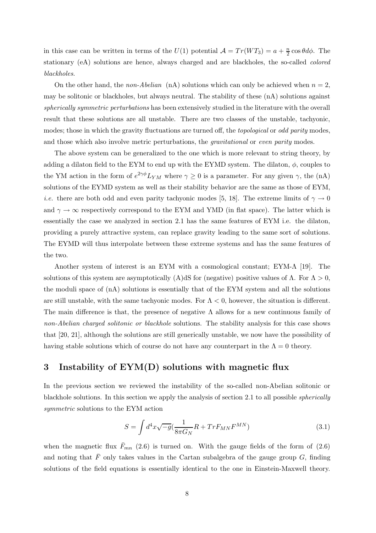in this case can be written in terms of the  $U(1)$  potential  $\mathcal{A} = Tr(WT_3) = a + \frac{n}{2} \cos \theta d\phi$ . The stationary (eA) solutions are hence, always charged and are blackholes, the so-called colored blackholes.

On the other hand, the non-Abelian (nA) solutions which can only be achieved when  $n = 2$ , may be solitonic or blackholes, but always neutral. The stability of these (nA) solutions against spherically symmetric perturbations has been extensively studied in the literature with the overall result that these solutions are all unstable. There are two classes of the unstable, tachyonic, modes; those in which the gravity fluctuations are turned off, the *topological* or *odd parity* modes, and those which also involve metric perturbations, the gravitational or even parity modes.

The above system can be generalized to the one which is more relevant to string theory, by adding a dilaton field to the EYM to end up with the EYMD system. The dilaton,  $\phi$ , couples to the YM action in the form of  $e^{2\gamma\phi}L_{YM}$  where  $\gamma \ge 0$  is a parameter. For any given  $\gamma$ , the (nA) solutions of the EYMD system as well as their stability behavior are the same as those of EYM, *i.e.* there are both odd and even parity tachyonic modes [5, 18]. The extreme limits of  $\gamma \to 0$ and  $\gamma \to \infty$  respectively correspond to the EYM and YMD (in flat space). The latter which is essentially the case we analyzed in section 2.1 has the same features of EYM i.e. the dilaton, providing a purely attractive system, can replace gravity leading to the same sort of solutions. The EYMD will thus interpolate between these extreme systems and has the same features of the two.

Another system of interest is an EYM with a cosmological constant; EYM-Λ [19]. The solutions of this system are asymptotically (A)dS for (negative) positive values of  $\Lambda$ . For  $\Lambda > 0$ , the moduli space of (nA) solutions is essentially that of the EYM system and all the solutions are still unstable, with the same tachyonic modes. For  $\Lambda < 0$ , however, the situation is different. The main difference is that, the presence of negative  $\Lambda$  allows for a new continuous family of non-Abelian charged solitonic or blackhole solutions. The stability analysis for this case shows that [20, 21], although the solutions are still generically unstable, we now have the possibility of having stable solutions which of course do not have any counterpart in the  $\Lambda = 0$  theory.

## 3 Instability of EYM(D) solutions with magnetic flux

In the previous section we reviewed the instability of the so-called non-Abelian solitonic or blackhole solutions. In this section we apply the analysis of section 2.1 to all possible *spherically* symmetric solutions to the EYM action

$$
S = \int d^4x \sqrt{-g} \left(\frac{1}{8\pi G_N} R + TrF_{MN} F^{MN}\right) \tag{3.1}
$$

when the magnetic flux  $\bar{F}_{mn}$  (2.6) is turned on. With the gauge fields of the form of (2.6) and noting that  $\bar{F}$  only takes values in the Cartan subalgebra of the gauge group G, finding solutions of the field equations is essentially identical to the one in Einstein-Maxwell theory.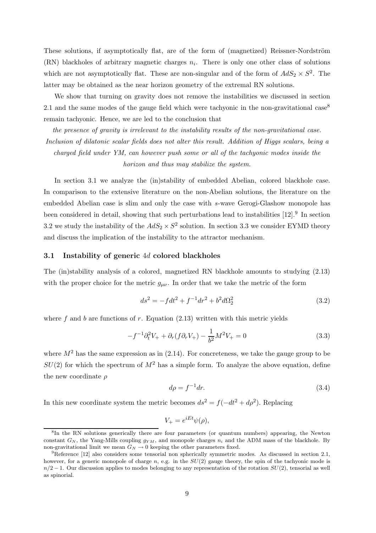These solutions, if asymptotically flat, are of the form of (magnetized) Reissner-Nordström  $(RN)$  blackholes of arbitrary magnetic charges  $n<sub>i</sub>$ . There is only one other class of solutions which are not asymptotically flat. These are non-singular and of the form of  $AdS_2 \times S^2$ . The latter may be obtained as the near horizon geometry of the extremal RN solutions.

We show that turning on gravity does not remove the instabilities we discussed in section 2.1 and the same modes of the gauge field which were tachyonic in the non-gravitational case<sup>8</sup> remain tachyonic. Hence, we are led to the conclusion that

the presence of gravity is irrelevant to the instability results of the non-gravitational case. Inclusion of dilatonic scalar fields does not alter this result. Addition of Higgs scalars, being a charged field under YM, can however push some or all of the tachyonic modes inside the horizon and thus may stabilize the system.

In section 3.1 we analyze the (in)stability of embedded Abelian, colored blackhole case. In comparison to the extensive literature on the non-Abelian solutions, the literature on the embedded Abelian case is slim and only the case with s-wave Gerogi-Glashow monopole has been considered in detail, showing that such perturbations lead to instabilities [12].<sup>9</sup> In section 3.2 we study the instability of the  $AdS_2 \times S^2$  solution. In section 3.3 we consider EYMD theory and discuss the implication of the instability to the attractor mechanism.

#### 3.1 Instability of generic 4d colored blackholes

The (in)stability analysis of a colored, magnetized RN blackhole amounts to studying (2.13) with the proper choice for the metric  $g_{\mu\nu}$ . In order that we take the metric of the form

$$
ds^{2} = -fdt^{2} + f^{-1}dr^{2} + b^{2}d\Omega_{2}^{2}
$$
\n(3.2)

where f and b are functions of r. Equation  $(2.13)$  written with this metric yields

$$
-f^{-1}\partial_t^2 V_+ + \partial_r(f\partial_r V_+) - \frac{1}{b^2}M^2 V_+ = 0
$$
\n(3.3)

where  $M<sup>2</sup>$  has the same expression as in (2.14). For concreteness, we take the gauge group to be  $SU(2)$  for which the spectrum of  $M^2$  has a simple form. To analyze the above equation, define the new coordinate  $\rho$ 

$$
d\rho = f^{-1}dr.\tag{3.4}
$$

In this new coordinate system the metric becomes  $ds^2 = f(-dt^2 + d\rho^2)$ . Replacing

$$
V_{+} = e^{iEt}\psi(\rho),
$$

<sup>&</sup>lt;sup>8</sup>In the RN solutions generically there are four parameters (or quantum numbers) appearing, the Newton constant  $G_N$ , the Yang-Mills coupling  $q_{YM}$ , and monopole charges  $n_i$  and the ADM mass of the blackhole. By non-gravitational limit we mean  $G_N \to 0$  keeping the other parameters fixed.

 ${}^{9}$ Reference [12] also considers some tensorial non spherically symmetric modes. As discussed in section 2.1, however, for a generic monopole of charge n, e.g. in the  $SU(2)$  gauge theory, the spin of the tachyonic mode is  $n/2 - 1$ . Our discussion applies to modes belonging to any representation of the rotation  $SU(2)$ , tensorial as well as spinorial.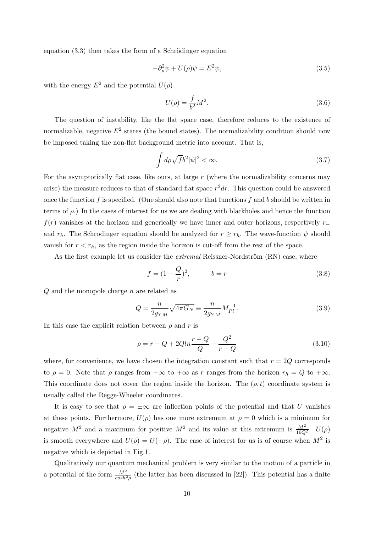equation  $(3.3)$  then takes the form of a Schrödinger equation

$$
-\partial_{\rho}^{2}\psi + U(\rho)\psi = E^{2}\psi,
$$
\n(3.5)

with the energy  $E^2$  and the potential  $U(\rho)$ 

$$
U(\rho) = \frac{f}{b^2}M^2.
$$
\n(3.6)

The question of instability, like the flat space case, therefore reduces to the existence of normalizable, negative  $E^2$  states (the bound states). The normalizability condition should now be imposed taking the non-flat background metric into account. That is,

$$
\int d\rho \sqrt{f} b^2 |\psi|^2 < \infty. \tag{3.7}
$$

For the asymptotically flat case, like ours, at large  $r$  (where the normalizability concerns may arise) the measure reduces to that of standard flat space  $r^2dr$ . This question could be answered once the function f is specified. (One should also note that functions f and b should be written in terms of  $\rho$ .) In the cases of interest for us we are dealing with blackholes and hence the function  $f(r)$  vanishes at the horizon and generically we have inner and outer horizons, respectively  $r_$ and  $r_h$ . The Schrodinger equation should be analyzed for  $r \geq r_h$ . The wave-function  $\psi$  should vanish for  $r < r_h$ , as the region inside the horizon is cut-off from the rest of the space.

As the first example let us consider the *extremal* Reissner-Nordström  $(RN)$  case, where

$$
f = (1 - \frac{Q}{r})^2, \qquad b = r \tag{3.8}
$$

Q and the monopole charge n are related as

$$
Q = \frac{n}{2g_{YM}}\sqrt{4\pi G_N} \equiv \frac{n}{2g_{YM}} M_{Pl}^{-1}.
$$
\n(3.9)

In this case the explicit relation between  $\rho$  and r is

$$
\rho = r - Q + 2Qln \frac{r - Q}{Q} - \frac{Q^2}{r - Q}
$$
\n(3.10)

where, for convenience, we have chosen the integration constant such that  $r = 2Q$  corresponds to  $\rho = 0$ . Note that  $\rho$  ranges from  $-\infty$  to  $+\infty$  as r ranges from the horizon  $r_h = Q$  to  $+\infty$ . This coordinate does not cover the region inside the horizon. The  $(\rho, t)$  coordinate system is usually called the Regge-Wheeler coordinates.

It is easy to see that  $\rho = \pm \infty$  are inflection points of the potential and that U vanishes at these points. Furthermore,  $U(\rho)$  has one more extremum at  $\rho = 0$  which is a minimum for negative  $M^2$  and a maximum for positive  $M^2$  and its value at this extremum is  $\frac{M^2}{16Q^2}$ .  $U(\rho)$ is smooth everywhere and  $U(\rho) = U(-\rho)$ . The case of interest for us is of course when  $M^2$  is negative which is depicted in Fig.1.

Qualitatively our quantum mechanical problem is very similar to the motion of a particle in a potential of the form  $\frac{M^2}{cosh^2 \rho}$  (the latter has been discussed in [22]). This potential has a finite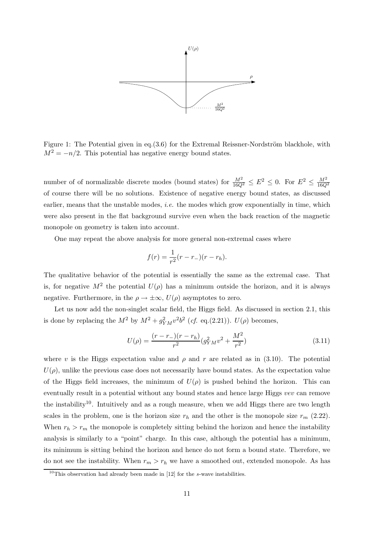

Figure 1: The Potential given in eq.(3.6) for the Extremal Reissner-Nordström blackhole, with  $M^2 = -n/2$ . This potential has negative energy bound states.

number of of normalizable discrete modes (bound states) for  $\frac{M^2}{16Q^2} \le E^2 \le 0$ . For  $E^2 \le \frac{M^2}{16Q^2}$ of course there will be no solutions. Existence of negative energy bound states, as discussed earlier, means that the unstable modes, *i.e.* the modes which grow exponentially in time, which were also present in the flat background survive even when the back reaction of the magnetic monopole on geometry is taken into account.

One may repeat the above analysis for more general non-extremal cases where

$$
f(r) = \frac{1}{r^2}(r - r_-)(r - r_h).
$$

The qualitative behavior of the potential is essentially the same as the extremal case. That is, for negative  $M^2$  the potential  $U(\rho)$  has a minimum outside the horizon, and it is always negative. Furthermore, in the  $\rho \to \pm \infty$ ,  $U(\rho)$  asymptotes to zero.

Let us now add the non-singlet scalar field, the Higgs field. As discussed in section 2.1, this is done by replacing the  $M^2$  by  $M^2 + g_{YM}^2 v^2 b^2$  (*cf.* eq.(2.21)).  $U(\rho)$  becomes,

$$
U(\rho) = \frac{(r - r_{-})(r - r_{h})}{r^{2}} (g_{YM}^{2}v^{2} + \frac{M^{2}}{r^{2}})
$$
\n(3.11)

where v is the Higgs expectation value and  $\rho$  and r are related as in (3.10). The potential  $U(\rho)$ , unlike the previous case does not necessarily have bound states. As the expectation value of the Higgs field increases, the minimum of  $U(\rho)$  is pushed behind the horizon. This can eventually result in a potential without any bound states and hence large Higgs vev can remove the instability10. Intuitively and as a rough measure, when we add Higgs there are two length scales in the problem, one is the horizon size  $r_h$  and the other is the monopole size  $r_m$  (2.22). When  $r_h > r_m$  the monopole is completely sitting behind the horizon and hence the instability analysis is similarly to a "point" charge. In this case, although the potential has a minimum, its minimum is sitting behind the horizon and hence do not form a bound state. Therefore, we do not see the instability. When  $r_m > r_h$  we have a smoothed out, extended monopole. As has

 $10$ This observation had already been made in [12] for the s-wave instabilities.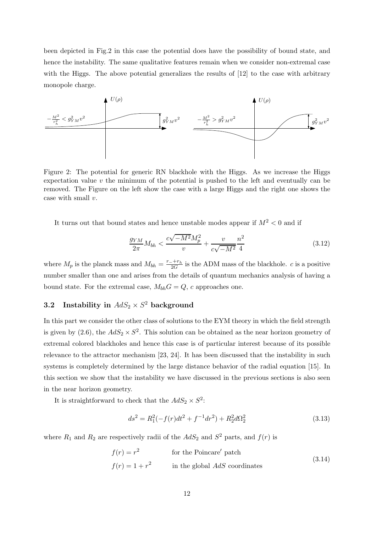been depicted in Fig.2 in this case the potential does have the possibility of bound state, and hence the instability. The same qualitative features remain when we consider non-extremal case with the Higgs. The above potential generalizes the results of [12] to the case with arbitrary monopole charge.



Figure 2: The potential for generic RN blackhole with the Higgs. As we increase the Higgs expectation value v the minimum of the potential is pushed to the left and eventually can be removed. The Figure on the left show the case with a large Higgs and the right one shows the case with small v.

It turns out that bound states and hence unstable modes appear if  $M^2 < 0$  and if

$$
\frac{g_{YM}}{2\pi}M_{bh} < \frac{c\sqrt{-M^2}M_p^2}{v} + \frac{v}{c\sqrt{-M^2}}\frac{n^2}{4} \tag{3.12}
$$

where  $M_p$  is the planck mass and  $M_{bh} = \frac{r_-+r_h}{2G}$  $\frac{2H+h}{2G}$  is the ADM mass of the blackhole. *c* is a positive number smaller than one and arises from the details of quantum mechanics analysis of having a bound state. For the extremal case,  $M_{bh}G = Q$ , c approaches one.

# 3.2 Instability in  $AdS_2 \times S^2$  background

In this part we consider the other class of solutions to the EYM theory in which the field strength is given by (2.6), the  $AdS_2 \times S^2$ . This solution can be obtained as the near horizon geometry of extremal colored blackholes and hence this case is of particular interest because of its possible relevance to the attractor mechanism [23, 24]. It has been discussed that the instability in such systems is completely determined by the large distance behavior of the radial equation [15]. In this section we show that the instability we have discussed in the previous sections is also seen in the near horizon geometry.

It is straightforward to check that the  $AdS_2 \times S^2$ :

$$
ds^{2} = R_{1}^{2}(-f(r)dt^{2} + f^{-1}dr^{2}) + R_{2}^{2}d\Omega_{2}^{2}
$$
\n(3.13)

where  $R_1$  and  $R_2$  are respectively radii of the  $AdS_2$  and  $S^2$  parts, and  $f(r)$  is

$$
f(r) = r2
$$
 for the Poincaré' patch  

$$
f(r) = 1 + r2
$$
 in the global AdS coordinates (3.14)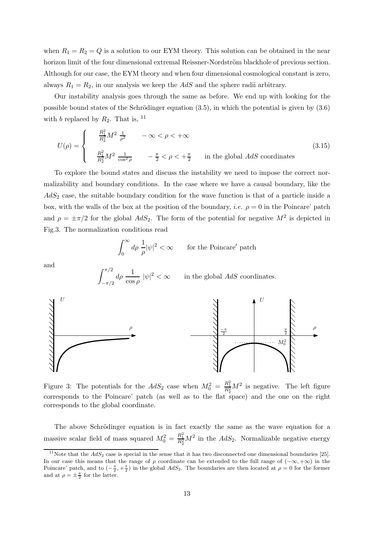when  $R_1 = R_2 = Q$  is a solution to our EYM theory. This solution can be obtained in the near horizon limit of the four dimensional extremal Reissner-Nordström blackhole of previous section. Although for our case, the EYM theory and when four dimensional cosmological constant is zero, always  $R_1 = R_2$ , in our analysis we keep the  $AdS$  and the sphere radii arbitrary.

Our instability analysis goes through the same as before. We end up with looking for the possible bound states of the Schrödinger equation  $(3.5)$ , in which the potential is given by  $(3.6)$ with b replaced by  $R_2$ . That is, <sup>11</sup>

$$
U(\rho) = \begin{cases} \frac{R_1^2}{R_2^2} M^2 \frac{1}{\rho^2} & -\infty < \rho < +\infty \\ \frac{R_1^2}{R_2^2} M^2 \frac{1}{\cos^2 \rho} & -\frac{\pi}{2} < \rho < +\frac{\pi}{2} \end{cases}
$$
 in the global AdS coordinates (3.15)

To explore the bound states and discuss the instability we need to impose the correct normalizability and boundary conditions. In the case where we have a causal boundary, like the  $AdS<sub>2</sub>$  case, the suitable boundary condition for the wave function is that of a particle inside a box, with the walls of the box at the position of the boundary, *i.e.*  $\rho = 0$  in the Poincare' patch and  $\rho = \pm \pi/2$  for the global  $AdS_2$ . The form of the potential for negative  $M^2$  is depicted in Fig.3. The normalization conditions read

$$
\int_0^\infty d\rho\; \frac{1}{\rho} |\psi|^2 < \infty \qquad \text{for the Poincaré' patch}
$$

and

 $\int_0^{\pi/2}$ 



Figure 3: The potentials for the  $AdS_2$  case when  $M_0^2 = \frac{R_1^2}{R_2^2} M^2$  is negative. The left figure corresponds to the Poincare' patch (as well as to the flat space) and the one on the right corresponds to the global coordinate.

The above Schrödinger equation is in fact exactly the same as the wave equation for a massive scalar field of mass squared  $M_0^2 = \frac{R_1^2}{R_2^2} M^2$  in the  $AdS_2$ . Normalizable negative energy

<sup>&</sup>lt;sup>11</sup>Note that the  $AdS_2$  case is special in the sense that it has two disconnected one dimensional boundaries [25]. In our case this means that the range of  $\rho$  coordinate can be extended to the full range of  $(-\infty, +\infty)$  in the Poincare' patch, and to  $\left(-\frac{\pi}{2},+\frac{\pi}{2}\right)$  in the global  $AdS_2$ . The boundaries are then located at  $\rho=0$  for the former and at  $\rho = \pm \frac{\pi}{2}$  for the latter.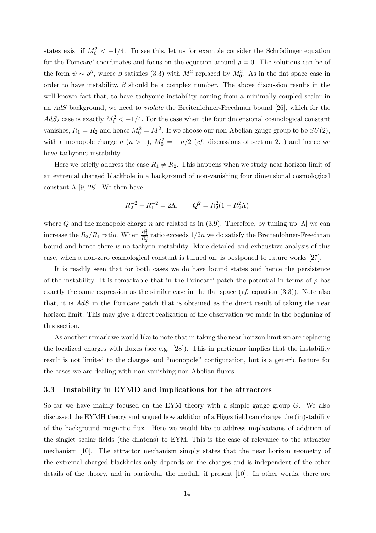states exist if  $M_0^2 < -1/4$ . To see this, let us for example consider the Schrödinger equation for the Poincare' coordinates and focus on the equation around  $\rho = 0$ . The solutions can be of the form  $\psi \sim \rho^{\beta}$ , where  $\beta$  satisfies (3.3) with  $M^2$  replaced by  $M_0^2$ . As in the flat space case in order to have instability,  $\beta$  should be a complex number. The above discussion results in the well-known fact that, to have tachyonic instability coming from a minimally coupled scalar in an AdS background, we need to violate the Breitenlohner-Freedman bound [26], which for the  $AdS_2$  case is exactly  $M_0^2 < -1/4$ . For the case when the four dimensional cosmological constant vanishes,  $R_1 = R_2$  and hence  $M_0^2 = M^2$ . If we choose our non-Abelian gauge group to be  $SU(2)$ , with a monopole charge  $n (n > 1)$ ,  $M_0^2 = -n/2$  (*cf.* discussions of section 2.1) and hence we have tachyonic instability.

Here we briefly address the case  $R_1 \neq R_2$ . This happens when we study near horizon limit of an extremal charged blackhole in a background of non-vanishing four dimensional cosmological constant  $\Lambda$  [9, 28]. We then have

$$
R_2^{-2} - R_1^{-2} = 2\Lambda, \qquad Q^2 = R_2^2 (1 - R_2^2 \Lambda)
$$

where Q and the monopole charge n are related as in (3.9). Therefore, by tuning up  $|\Lambda|$  we can increase the  $R_2/R_1$  ratio. When  $\frac{R_1^2}{R_2^2}$  ratio exceeds  $1/2n$  we do satisfy the Breitenlohner-Freedman bound and hence there is no tachyon instability. More detailed and exhaustive analysis of this case, when a non-zero cosmological constant is turned on, is postponed to future works [27].

It is readily seen that for both cases we do have bound states and hence the persistence of the instability. It is remarkable that in the Poincare' patch the potential in terms of  $\rho$  has exactly the same expression as the similar case in the flat space  $(cf.$  equation  $(3.3)$ ). Note also that, it is AdS in the Poincare patch that is obtained as the direct result of taking the near horizon limit. This may give a direct realization of the observation we made in the beginning of this section.

As another remark we would like to note that in taking the near horizon limit we are replacing the localized charges with fluxes (see e.g. [28]). This in particular implies that the instability result is not limited to the charges and "monopole" configuration, but is a generic feature for the cases we are dealing with non-vanishing non-Abelian fluxes.

### 3.3 Instability in EYMD and implications for the attractors

So far we have mainly focused on the EYM theory with a simple gauge group  $G$ . We also discussed the EYMH theory and argued how addition of a Higgs field can change the (in)stability of the background magnetic flux. Here we would like to address implications of addition of the singlet scalar fields (the dilatons) to EYM. This is the case of relevance to the attractor mechanism [10]. The attractor mechanism simply states that the near horizon geometry of the extremal charged blackholes only depends on the charges and is independent of the other details of the theory, and in particular the moduli, if present [10]. In other words, there are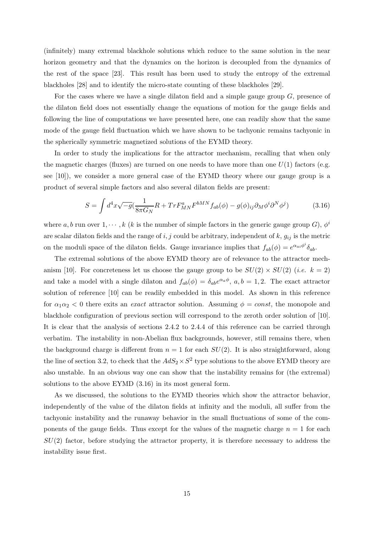(infinitely) many extremal blackhole solutions which reduce to the same solution in the near horizon geometry and that the dynamics on the horizon is decoupled from the dynamics of the rest of the space [23]. This result has been used to study the entropy of the extremal blackholes [28] and to identify the micro-state counting of these blackholes [29].

For the cases where we have a single dilaton field and a simple gauge group  $G$ , presence of the dilaton field does not essentially change the equations of motion for the gauge fields and following the line of computations we have presented here, one can readily show that the same mode of the gauge field fluctuation which we have shown to be tachyonic remains tachyonic in the spherically symmetric magnetized solutions of the EYMD theory.

In order to study the implications for the attractor mechanism, recalling that when only the magnetic charges (fluxes) are turned on one needs to have more than one  $U(1)$  factors (e.g. see [10]), we consider a more general case of the EYMD theory where our gauge group is a product of several simple factors and also several dilaton fields are present:

$$
S = \int d^4x \sqrt{-g} \left(\frac{1}{8\pi G_N} R + Tr F_{MN}^a F^{bMN} f_{ab}(\phi) - g(\phi)_{ij} \partial_M \phi^i \partial^N \phi^j\right) \tag{3.16}
$$

where a, b run over  $1, \dots, k$  (k is the number of simple factors in the generic gauge group G),  $\phi^i$ are scalar dilaton fields and the range of  $i, j$  could be arbitrary, independent of  $k, g_{ij}$  is the metric on the moduli space of the dilaton fields. Gauge invariance implies that  $f_{ab}(\phi) = e^{\alpha_{ai}\phi^i} \delta_{ab}$ .

The extremal solutions of the above EYMD theory are of relevance to the attractor mechanism [10]. For concreteness let us choose the gauge group to be  $SU(2) \times SU(2)$  (i.e.  $k = 2$ ) and take a model with a single dilaton and  $f_{ab}(\phi) = \delta_{ab}e^{\alpha_a \phi}, a, b = 1, 2$ . The exact attractor solution of reference [10] can be readily embedded in this model. As shown in this reference for  $\alpha_1\alpha_2 < 0$  there exits an *exact* attractor solution. Assuming  $\phi = const$ , the monopole and blackhole configuration of previous section will correspond to the zeroth order solution of [10]. It is clear that the analysis of sections 2.4.2 to 2.4.4 of this reference can be carried through verbatim. The instability in non-Abelian flux backgrounds, however, still remains there, when the background charge is different from  $n = 1$  for each  $SU(2)$ . It is also straightforward, along the line of section 3.2, to check that the  $AdS_2 \times S^2$  type solutions to the above EYMD theory are also unstable. In an obvious way one can show that the instability remains for (the extremal) solutions to the above EYMD (3.16) in its most general form.

As we discussed, the solutions to the EYMD theories which show the attractor behavior, independently of the value of the dilaton fields at infinity and the moduli, all suffer from the tachyonic instability and the runaway behavior in the small fluctuations of some of the components of the gauge fields. Thus except for the values of the magnetic charge  $n = 1$  for each  $SU(2)$  factor, before studying the attractor property, it is therefore necessary to address the instability issue first.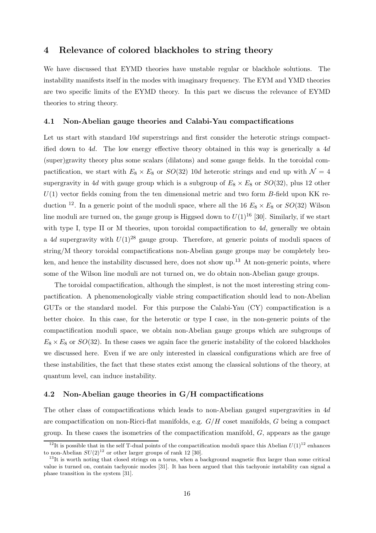## 4 Relevance of colored blackholes to string theory

We have discussed that EYMD theories have unstable regular or blackhole solutions. The instability manifests itself in the modes with imaginary frequency. The EYM and YMD theories are two specific limits of the EYMD theory. In this part we discuss the relevance of EYMD theories to string theory.

### 4.1 Non-Abelian gauge theories and Calabi-Yau compactifications

Let us start with standard 10d superstrings and first consider the heterotic strings compactified down to 4d. The low energy effective theory obtained in this way is generically a 4d (super)gravity theory plus some scalars (dilatons) and some gauge fields. In the toroidal compactification, we start with  $E_8 \times E_8$  or  $SO(32)$  10d heterotic strings and end up with  $\mathcal{N} = 4$ supergravity in 4d with gauge group which is a subgroup of  $E_8 \times E_8$  or  $SO(32)$ , plus 12 other  $U(1)$  vector fields coming from the ten dimensional metric and two form B-field upon KK reduction <sup>12</sup>. In a generic point of the moduli space, where all the 16  $E_8 \times E_8$  or  $SO(32)$  Wilson line moduli are turned on, the gauge group is Higgsed down to  $U(1)^{16}$  [30]. Similarly, if we start with type I, type II or M theories, upon toroidal compactification to 4d, generally we obtain a 4d supergravity with  $U(1)^{28}$  gauge group. Therefore, at generic points of moduli spaces of string/M theory toroidal compactifications non-Abelian gauge groups may be completely broken, and hence the instability discussed here, does not show up.<sup>13</sup> At non-generic points, where some of the Wilson line moduli are not turned on, we do obtain non-Abelian gauge groups.

The toroidal compactification, although the simplest, is not the most interesting string compactification. A phenomenologically viable string compactification should lead to non-Abelian GUTs or the standard model. For this purpose the Calabi-Yau (CY) compactification is a better choice. In this case, for the heterotic or type I case, in the non-generic points of the compactification moduli space, we obtain non-Abelian gauge groups which are subgroups of  $E_8 \times E_8$  or  $SO(32)$ . In these cases we again face the generic instability of the colored blackholes we discussed here. Even if we are only interested in classical configurations which are free of these instabilities, the fact that these states exist among the classical solutions of the theory, at quantum level, can induce instability.

### 4.2 Non-Abelian gauge theories in G/H compactifications

The other class of compactifications which leads to non-Abelian gauged supergravities in 4d are compactification on non-Ricci-flat manifolds, e.g.  $G/H$  coset manifolds, G being a compact group. In these cases the isometries of the compactification manifold,  $G$ , appears as the gauge

<sup>&</sup>lt;sup>12</sup>It is possible that in the self T-dual points of the compactification moduli space this Abelian  $U(1)^{12}$  enhances to non-Abelian  $SU(2)^{12}$  or other larger groups of rank 12 [30].

<sup>&</sup>lt;sup>13</sup>It is worth noting that closed strings on a torus, when a background magnetic flux larger than some critical value is turned on, contain tachyonic modes [31]. It has been argued that this tachyonic instability can signal a phase transition in the system [31].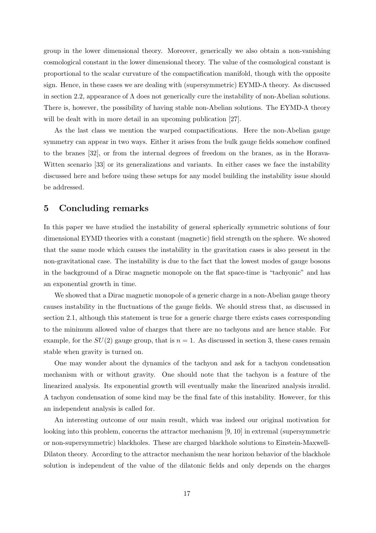group in the lower dimensional theory. Moreover, generically we also obtain a non-vanishing cosmological constant in the lower dimensional theory. The value of the cosmological constant is proportional to the scalar curvature of the compactification manifold, though with the opposite sign. Hence, in these cases we are dealing with (supersymmetric) EYMD-Λ theory. As discussed in section 2.2, appearance of  $\Lambda$  does not generically cure the instability of non-Abelian solutions. There is, however, the possibility of having stable non-Abelian solutions. The EYMD-Λ theory will be dealt with in more detail in an upcoming publication [27].

As the last class we mention the warped compactifications. Here the non-Abelian gauge symmetry can appear in two ways. Either it arises from the bulk gauge fields somehow confined to the branes [32], or from the internal degrees of freedom on the branes, as in the Horava-Witten scenario [33] or its generalizations and variants. In either cases we face the instability discussed here and before using these setups for any model building the instability issue should be addressed.

## 5 Concluding remarks

In this paper we have studied the instability of general spherically symmetric solutions of four dimensional EYMD theories with a constant (magnetic) field strength on the sphere. We showed that the same mode which causes the instability in the gravitation cases is also present in the non-gravitational case. The instability is due to the fact that the lowest modes of gauge bosons in the background of a Dirac magnetic monopole on the flat space-time is "tachyonic" and has an exponential growth in time.

We showed that a Dirac magnetic monopole of a generic charge in a non-Abelian gauge theory causes instability in the fluctuations of the gauge fields. We should stress that, as discussed in section 2.1, although this statement is true for a generic charge there exists cases corresponding to the minimum allowed value of charges that there are no tachyons and are hence stable. For example, for the  $SU(2)$  gauge group, that is  $n = 1$ . As discussed in section 3, these cases remain stable when gravity is turned on.

One may wonder about the dynamics of the tachyon and ask for a tachyon condensation mechanism with or without gravity. One should note that the tachyon is a feature of the linearized analysis. Its exponential growth will eventually make the linearized analysis invalid. A tachyon condensation of some kind may be the final fate of this instability. However, for this an independent analysis is called for.

An interesting outcome of our main result, which was indeed our original motivation for looking into this problem, concerns the attractor mechanism [9, 10] in extremal (supersymmetric or non-supersymmetric) blackholes. These are charged blackhole solutions to Einstein-Maxwell-Dilaton theory. According to the attractor mechanism the near horizon behavior of the blackhole solution is independent of the value of the dilatonic fields and only depends on the charges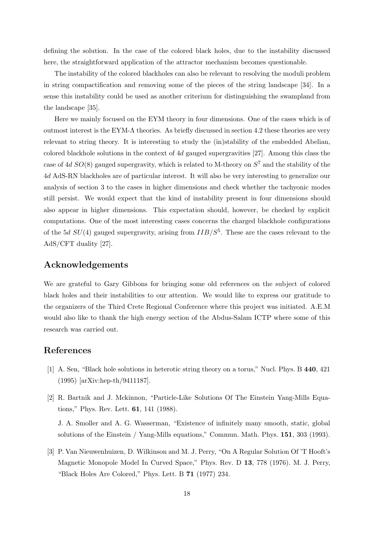defining the solution. In the case of the colored black holes, due to the instability discussed here, the straightforward application of the attractor mechanism becomes questionable.

The instability of the colored blackholes can also be relevant to resolving the moduli problem in string compactification and removing some of the pieces of the string landscape [34]. In a sense this instability could be used as another criterium for distinguishing the swampland from the landscape [35].

Here we mainly focused on the EYM theory in four dimensions. One of the cases which is of outmost interest is the EYM-Λ theories. As briefly discussed in section 4.2 these theories are very relevant to string theory. It is interesting to study the (in)stability of the embedded Abelian, colored blackhole solutions in the context of 4d gauged supergravities [27]. Among this class the case of 4d  $SO(8)$  gauged supergravity, which is related to M-theory on  $S^7$  and the stability of the 4d AdS-RN blackholes are of particular interest. It will also be very interesting to generalize our analysis of section 3 to the cases in higher dimensions and check whether the tachyonic modes still persist. We would expect that the kind of instability present in four dimensions should also appear in higher dimensions. This expectation should, however, be checked by explicit computations. One of the most interesting cases concerns the charged blackhole configurations of the 5d  $SU(4)$  gauged supergravity, arising from  $IIB/S<sup>5</sup>$ . These are the cases relevant to the AdS/CFT duality [27].

## Acknowledgements

We are grateful to Gary Gibbons for bringing some old references on the subject of colored black holes and their instabilities to our attention. We would like to express our gratitude to the organizers of the Third Crete Regional Conference where this project was initiated. A.E.M would also like to thank the high energy section of the Abdus-Salam ICTP where some of this research was carried out.

## References

- [1] A. Sen, "Black hole solutions in heterotic string theory on a torus," Nucl. Phys. B 440, 421 (1995) [arXiv:hep-th/9411187].
- [2] R. Bartnik and J. Mckinnon, "Particle-Like Solutions Of The Einstein Yang-Mills Equations," Phys. Rev. Lett. 61, 141 (1988).

J. A. Smoller and A. G. Wasserman, "Existence of infinitely many smooth, static, global solutions of the Einstein / Yang-Mills equations," Commun. Math. Phys. 151, 303 (1993).

[3] P. Van Nieuwenhuizen, D. Wilkinson and M. J. Perry, "On A Regular Solution Of 'T Hooft's Magnetic Monopole Model In Curved Space," Phys. Rev. D 13, 778 (1976). M. J. Perry, "Black Holes Are Colored," Phys. Lett. B 71 (1977) 234.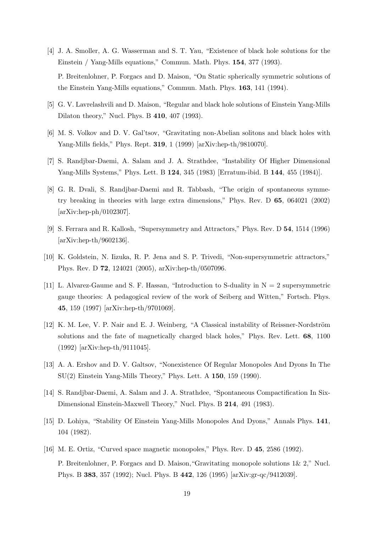- [4] J. A. Smoller, A. G. Wasserman and S. T. Yau, "Existence of black hole solutions for the Einstein / Yang-Mills equations," Commun. Math. Phys. 154, 377 (1993). P. Breitenlohner, P. Forgacs and D. Maison, "On Static spherically symmetric solutions of the Einstein Yang-Mills equations," Commun. Math. Phys. 163, 141 (1994).
- [5] G. V. Lavrelashvili and D. Maison, "Regular and black hole solutions of Einstein Yang-Mills Dilaton theory," Nucl. Phys. B 410, 407 (1993).
- [6] M. S. Volkov and D. V. Gal'tsov, "Gravitating non-Abelian solitons and black holes with Yang-Mills fields," Phys. Rept. 319, 1 (1999) [arXiv:hep-th/9810070].
- [7] S. Randjbar-Daemi, A. Salam and J. A. Strathdee, "Instability Of Higher Dimensional Yang-Mills Systems," Phys. Lett. B 124, 345 (1983) [Erratum-ibid. B 144, 455 (1984)].
- [8] G. R. Dvali, S. Randjbar-Daemi and R. Tabbash, "The origin of spontaneous symmetry breaking in theories with large extra dimensions," Phys. Rev. D 65, 064021 (2002) [arXiv:hep-ph/0102307].
- [9] S. Ferrara and R. Kallosh, "Supersymmetry and Attractors," Phys. Rev. D 54, 1514 (1996) [arXiv:hep-th/9602136].
- [10] K. Goldstein, N. Iizuka, R. P. Jena and S. P. Trivedi, "Non-supersymmetric attractors," Phys. Rev. D 72, 124021 (2005), arXiv:hep-th/0507096.
- [11] L. Alvarez-Gaume and S. F. Hassan, "Introduction to S-duality in  $N = 2$  supersymmetric gauge theories: A pedagogical review of the work of Seiberg and Witten," Fortsch. Phys. 45, 159 (1997) [arXiv:hep-th/9701069].
- [12] K. M. Lee, V. P. Nair and E. J. Weinberg, "A Classical instability of Reissner-Nordström solutions and the fate of magnetically charged black holes," Phys. Rev. Lett. 68, 1100 (1992) [arXiv:hep-th/9111045].
- [13] A. A. Ershov and D. V. Galtsov, "Nonexistence Of Regular Monopoles And Dyons In The SU(2) Einstein Yang-Mills Theory," Phys. Lett. A 150, 159 (1990).
- [14] S. Randjbar-Daemi, A. Salam and J. A. Strathdee, "Spontaneous Compactification In Six-Dimensional Einstein-Maxwell Theory," Nucl. Phys. B 214, 491 (1983).
- [15] D. Lohiya, "Stability Of Einstein Yang-Mills Monopoles And Dyons," Annals Phys. 141, 104 (1982).
- [16] M. E. Ortiz, "Curved space magnetic monopoles," Phys. Rev. D 45, 2586 (1992). P. Breitenlohner, P. Forgacs and D. Maison,"Gravitating monopole solutions 1& 2," Nucl. Phys. B 383, 357 (1992); Nucl. Phys. B 442, 126 (1995) [arXiv:gr-qc/9412039].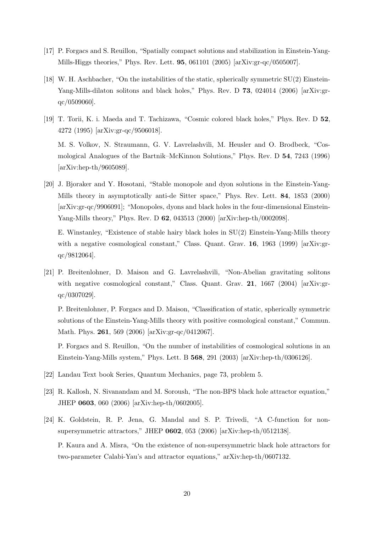- [17] P. Forgacs and S. Reuillon, "Spatially compact solutions and stabilization in Einstein-Yang-Mills-Higgs theories," Phys. Rev. Lett. 95, 061101 (2005) [arXiv:gr-qc/0505007].
- [18] W. H. Aschbacher, "On the instabilities of the static, spherically symmetric SU(2) Einstein-Yang-Mills-dilaton solitons and black holes," Phys. Rev. D 73, 024014 (2006) [arXiv:grqc/0509060].
- [19] T. Torii, K. i. Maeda and T. Tachizawa, "Cosmic colored black holes," Phys. Rev. D 52, 4272 (1995) [arXiv:gr-qc/9506018]. M. S. Volkov, N. Straumann, G. V. Lavrelashvili, M. Heusler and O. Brodbeck, "Cos-

mological Analogues of the Bartnik–McKinnon Solutions," Phys. Rev. D 54, 7243 (1996) [arXiv:hep-th/9605089].

[20] J. Bjoraker and Y. Hosotani, "Stable monopole and dyon solutions in the Einstein-Yang-Mills theory in asymptotically anti-de Sitter space," Phys. Rev. Lett. 84, 1853 (2000) [arXiv:gr-qc/9906091]; "Monopoles, dyons and black holes in the four-dimensional Einstein-Yang-Mills theory," Phys. Rev. D 62, 043513 (2000) [arXiv:hep-th/0002098].

E. Winstanley, "Existence of stable hairy black holes in SU(2) Einstein-Yang-Mills theory with a negative cosmological constant," Class. Quant. Grav. **16**, 1963 (1999) [arXiv:grqc/9812064].

[21] P. Breitenlohner, D. Maison and G. Lavrelashvili, "Non-Abelian gravitating solitons with negative cosmological constant," Class. Quant. Grav. 21, 1667 (2004) [arXiv:grqc/0307029].

P. Breitenlohner, P. Forgacs and D. Maison, "Classification of static, spherically symmetric solutions of the Einstein-Yang-Mills theory with positive cosmological constant," Commun. Math. Phys. 261, 569 (2006) [arXiv:gr-qc/0412067].

P. Forgacs and S. Reuillon, "On the number of instabilities of cosmological solutions in an Einstein-Yang-Mills system," Phys. Lett. B 568, 291 (2003) [arXiv:hep-th/0306126].

- [22] Landau Text book Series, Quantum Mechanics, page 73, problem 5.
- [23] R. Kallosh, N. Sivanandam and M. Soroush, "The non-BPS black hole attractor equation," JHEP 0603, 060 (2006) [arXiv:hep-th/0602005].
- [24] K. Goldstein, R. P. Jena, G. Mandal and S. P. Trivedi, "A C-function for nonsupersymmetric attractors," JHEP 0602, 053 (2006) [arXiv:hep-th/0512138]. P. Kaura and A. Misra, "On the existence of non-supersymmetric black hole attractors for two-parameter Calabi-Yau's and attractor equations," arXiv:hep-th/0607132.